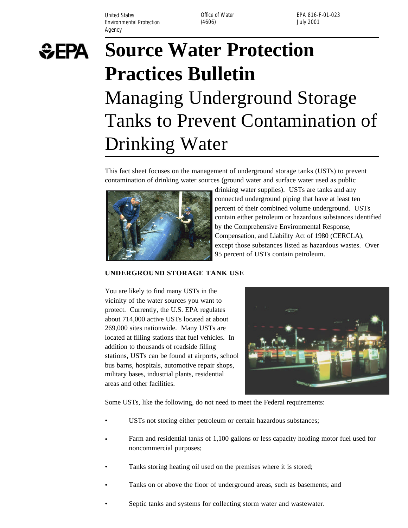United States **Office of Water** Environmental Protection (4606) (3606) and the University of the University of the University of the University of the University of the University of the University of the University of the University of the University of Agency

EPA 816-F-01-023



# **Source Water Protection Practices Bulletin**  Managing Underground Storage Tanks to Prevent Contamination of Drinking Water

This fact sheet focuses on the management of underground storage tanks (USTs) to prevent contamination of drinking water sources (ground water and surface water used as public



drinking water supplies). USTs are tanks and any connected underground piping that have at least ten percent of their combined volume underground. USTs contain either petroleum or hazardous substances identified by the Comprehensive Environmental Response, Compensation, and Liability Act of 1980 (CERCLA), except those substances listed as hazardous wastes. Over 95 percent of USTs contain petroleum.

#### **UNDERGROUND STORAGE TANK USE**

You are likely to find many USTs in the vicinity of the water sources you want to protect. Currently, the U.S. EPA regulates about 714,000 active USTs located at about 269,000 sites nationwide. Many USTs are located at filling stations that fuel vehicles. In addition to thousands of roadside filling stations, USTs can be found at airports, school bus barns, hospitals, automotive repair shops, military bases, industrial plants, residential areas and other facilities.



Some USTs, like the following, do not need to meet the Federal requirements:

- USTs not storing either petroleum or certain hazardous substances;
- Farm and residential tanks of 1,100 gallons or less capacity holding motor fuel used for noncommercial purposes;
- Tanks storing heating oil used on the premises where it is stored;
- Tanks on or above the floor of underground areas, such as basements; and
- Septic tanks and systems for collecting storm water and wastewater.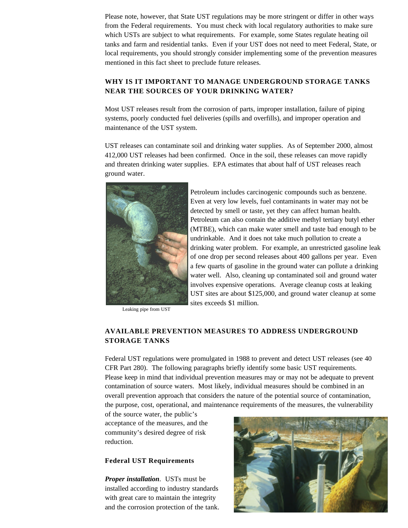Please note, however, that State UST regulations may be more stringent or differ in other ways from the Federal requirements. You must check with local regulatory authorities to make sure which USTs are subject to what requirements. For example, some States regulate heating oil tanks and farm and residential tanks. Even if your UST does not need to meet Federal, State, or local requirements, you should strongly consider implementing some of the prevention measures mentioned in this fact sheet to preclude future releases.

## **WHY IS IT IMPORTANT TO MANAGE UNDERGROUND STORAGE TANKS NEAR THE SOURCES OF YOUR DRINKING WATER?**

Most UST releases result from the corrosion of parts, improper installation, failure of piping systems, poorly conducted fuel deliveries (spills and overfills), and improper operation and maintenance of the UST system.

UST releases can contaminate soil and drinking water supplies. As of September 2000, almost 412,000 UST releases had been confirmed. Once in the soil, these releases can move rapidly and threaten drinking water supplies. EPA estimates that about half of UST releases reach ground water.



Leaking pipe from UST

Petroleum can also contain the additive methyl tertiary butyl ether (MTBE), which can make water smell and taste bad enough to be undrinkable. And it does not take much pollution to create a drinking water problem. For example, an unrestricted gasoline leak of one drop per second releases about 400 gallons per year. Even a few quarts of gasoline in the ground water can pollute a drinking water well. Also, cleaning up contaminated soil and ground water involves expensive operations. Average cleanup costs at leaking UST sites are about \$125,000, and ground water cleanup at some sites exceeds \$1 million.

Petroleum includes carcinogenic compounds such as benzene. Even at very low levels, fuel contaminants in water may not be detected by smell or taste, yet they can affect human health.

## **AVAILABLE PREVENTION MEASURES TO ADDRESS UNDERGROUND STORAGE TANKS**

Federal UST regulations were promulgated in 1988 to prevent and detect UST releases (see 40 CFR Part 280). The following paragraphs briefly identify some basic UST requirements. Please keep in mind that individual prevention measures may or may not be adequate to prevent contamination of source waters. Most likely, individual measures should be combined in an overall prevention approach that considers the nature of the potential source of contamination, the purpose, cost, operational, and maintenance requirements of the measures, the vulnerability

of the source water, the public's acceptance of the measures, and the community's desired degree of risk reduction.

#### **Federal UST Requirements**

*Proper installation*. USTs must be installed according to industry standards with great care to maintain the integrity and the corrosion protection of the tank.

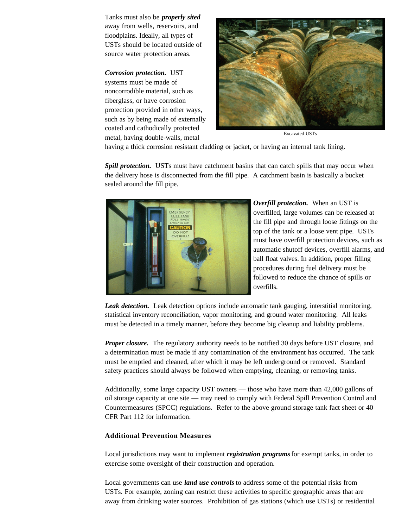Tanks must also be *properly sited*  away from wells, reservoirs, and floodplains. Ideally, all types of USTs should be located outside of source water protection areas.

#### *Corrosion protection.* UST

systems must be made of noncorrodible material, such as fiberglass, or have corrosion protection provided in other ways, such as by being made of externally coated and cathodically protected metal, having double-walls, metal Excavated USTs



having a thick corrosion resistant cladding or jacket, or having an internal tank lining.

*Spill protection.* USTs must have catchment basins that can catch spills that may occur when the delivery hose is disconnected from the fill pipe. A catchment basin is basically a bucket sealed around the fill pipe.



*Overfill protection.* When an UST is overfilled, large volumes can be released at the fill pipe and through loose fittings on the top of the tank or a loose vent pipe. USTs must have overfill protection devices, such as automatic shutoff devices, overfill alarms, and ball float valves. In addition, proper filling procedures during fuel delivery must be followed to reduce the chance of spills or overfills.

*Leak detection.* Leak detection options include automatic tank gauging, interstitial monitoring, statistical inventory reconciliation, vapor monitoring, and ground water monitoring. All leaks must be detected in a timely manner, before they become big cleanup and liability problems.

*Proper closure.* The regulatory authority needs to be notified 30 days before UST closure, and a determination must be made if any contamination of the environment has occurred. The tank must be emptied and cleaned, after which it may be left underground or removed. Standard safety practices should always be followed when emptying, cleaning, or removing tanks.

Additionally, some large capacity UST owners — those who have more than 42,000 gallons of oil storage capacity at one site — may need to comply with Federal Spill Prevention Control and Countermeasures (SPCC) regulations. Refer to the above ground storage tank fact sheet or 40 CFR Part 112 for information.

#### **Additional Prevention Measures**

Local jurisdictions may want to implement *registration programs* for exempt tanks, in order to exercise some oversight of their construction and operation.

Local governments can use *land use controls* to address some of the potential risks from USTs. For example, zoning can restrict these activities to specific geographic areas that are away from drinking water sources. Prohibition of gas stations (which use USTs) or residential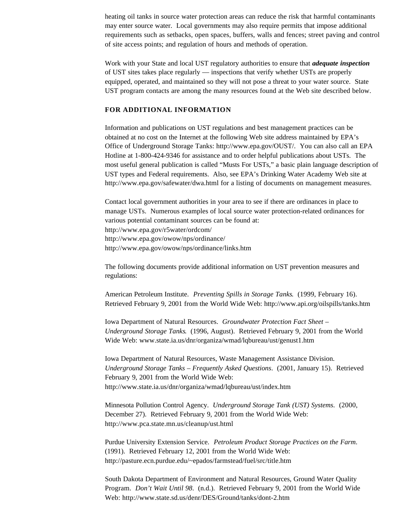heating oil tanks in source water protection areas can reduce the risk that harmful contaminants may enter source water. Local governments may also require permits that impose additional requirements such as setbacks, open spaces, buffers, walls and fences; street paving and control of site access points; and regulation of hours and methods of operation.

Work with your State and local UST regulatory authorities to ensure that *adequate inspection*  of UST sites takes place regularly — inspections that verify whether USTs are properly equipped, operated, and maintained so they will not pose a threat to your water source. State UST program contacts are among the many resources found at the Web site described below.

### **FOR ADDITIONAL INFORMATION**

Information and publications on UST regulations and best management practices can be obtained at no cost on the Internet at the following Web site address maintained by EPA's Office of Underground Storage Tanks: http://www.epa.gov/OUST/. You can also call an EPA Hotline at 1-800-424-9346 for assistance and to order helpful publications about USTs. The most useful general publication is called "Musts For USTs," a basic plain language description of UST types and Federal requirements. Also, see EPA's Drinking Water Academy Web site at http://www.epa.gov/safewater/dwa.html for a listing of documents on management measures.

Contact local government authorities in your area to see if there are ordinances in place to manage USTs. Numerous examples of local source water protection-related ordinances for various potential contaminant sources can be found at: http://www.epa.gov/r5water/ordcom/ http://www.epa.gov/owow/nps/ordinance/ http://www.epa.gov/owow/nps/ordinance/links.htm

The following documents provide additional information on UST prevention measures and regulations:

American Petroleum Institute. *Preventing Spills in Storage Tanks*. (1999, February 16). Retrieved February 9, 2001 from the World Wide Web: http://www.api.org/oilspills/tanks.htm

Iowa Department of Natural Resources. *Groundwater Protection Fact Sheet – Underground Storage Tanks*. (1996, August). Retrieved February 9, 2001 from the World Wide Web: www.state.ia.us/dnr/organiza/wmad/lqbureau/ust/genust1.htm

Iowa Department of Natural Resources, Waste Management Assistance Division. *Underground Storage Tanks – Frequently Asked Questions*. (2001, January 15). Retrieved February 9, 2001 from the World Wide Web: http://www.state.ia.us/dnr/organiza/wmad/lqbureau/ust/index.htm

Minnesota Pollution Control Agency. *Underground Storage Tank (UST) Systems*. (2000, December 27). Retrieved February 9, 2001 from the World Wide Web: http://www.pca.state.mn.us/cleanup/ust.html

Purdue University Extension Service. *Petroleum Product Storage Practices on the Farm*. (1991). Retrieved February 12, 2001 from the World Wide Web: http://pasture.ecn.purdue.edu/~epados/farmstead/fuel/src/title.htm

South Dakota Department of Environment and Natural Resources, Ground Water Quality Program. *Don't Wait Until 98*. (n.d.). Retrieved February 9, 2001 from the World Wide Web: http://www.state.sd.us/denr/DES/Ground/tanks/dont-2.htm